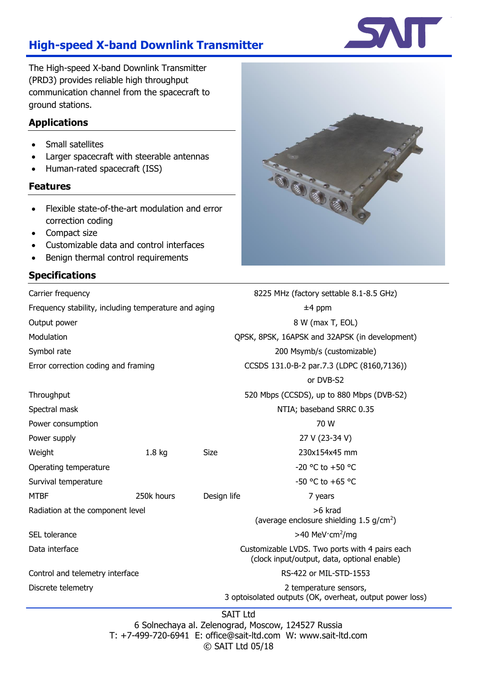# **High-speed X-band Downlink Transmitter**

The High-speed X-band Downlink Transmitter (PRD3) provides reliable high throughput communication channel from the spacecraft to ground stations.

### **Applications**

- Small satellites
- Larger spacecraft with steerable antennas
- Human-rated spacecraft (ISS)

#### **Features**

- Flexible state-of-the-art modulation and error correction coding
- Compact size
- Customizable data and control interfaces
- Benign thermal control requirements

# **Specifications**



| Carrier frequency                                    |                   |             | 8225 MHz (factory settable 8.1-8.5 GHz)                                                       |  |
|------------------------------------------------------|-------------------|-------------|-----------------------------------------------------------------------------------------------|--|
| Frequency stability, including temperature and aging |                   |             | $±4$ ppm                                                                                      |  |
| Output power                                         |                   |             | 8 W (max T, EOL)                                                                              |  |
| Modulation                                           |                   |             | QPSK, 8PSK, 16APSK and 32APSK (in development)                                                |  |
| Symbol rate                                          |                   |             | 200 Msymb/s (customizable)                                                                    |  |
| Error correction coding and framing                  |                   |             | CCSDS 131.0-B-2 par.7.3 (LDPC (8160,7136))                                                    |  |
|                                                      |                   |             | or DVB-S2                                                                                     |  |
| Throughput                                           |                   |             | 520 Mbps (CCSDS), up to 880 Mbps (DVB-S2)                                                     |  |
| Spectral mask                                        |                   |             | NTIA; baseband SRRC 0.35                                                                      |  |
| Power consumption                                    |                   | 70 W        |                                                                                               |  |
| Power supply                                         |                   |             | 27 V (23-34 V)                                                                                |  |
| Weight                                               | 1.8 <sub>kg</sub> | Size        | 230x154x45 mm                                                                                 |  |
| Operating temperature                                |                   |             | -20 °C to +50 °C                                                                              |  |
| Survival temperature                                 |                   |             | $-50$ °C to $+65$ °C                                                                          |  |
| <b>MTBF</b>                                          | 250k hours        | Design life | 7 years                                                                                       |  |
| Radiation at the component level                     |                   |             | >6 krad<br>(average enclosure shielding $1.5$ g/cm <sup>2</sup> )                             |  |
| SEL tolerance                                        |                   |             | >40 MeV cm <sup>2</sup> /mg                                                                   |  |
| Data interface                                       |                   |             | Customizable LVDS. Two ports with 4 pairs each<br>(clock input/output, data, optional enable) |  |
| Control and telemetry interface                      |                   |             | RS-422 or MIL-STD-1553                                                                        |  |
| Discrete telemetry                                   |                   |             | 2 temperature sensors,<br>3 optoisolated outputs (OK, overheat, output power loss)            |  |
| <b>SAIT Ltd</b>                                      |                   |             |                                                                                               |  |

6 Solnechaya al. Zelenograd, Moscow, 124527 Russia T: +7-499-720-6941 E: office@sait-ltd.com W: www.sait-ltd.com © SAIT Ltd 05/18